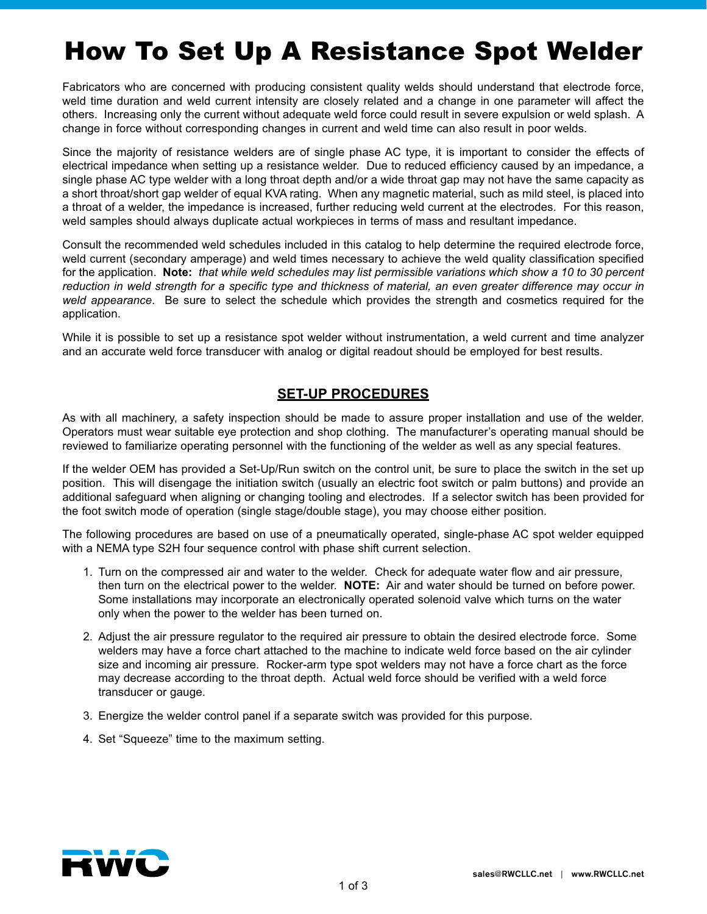## How To Set Up A Resistance Spot Welder

Fabricators who are concerned with producing consistent quality welds should understand that electrode force, weld time duration and weld current intensity are closely related and a change in one parameter will affect the others. Increasing only the current without adequate weld force could result in severe expulsion or weld splash. A change in force without corresponding changes in current and weld time can also result in poor welds.

Since the majority of resistance welders are of single phase AC type, it is important to consider the effects of electrical impedance when setting up a resistance welder. Due to reduced efficiency caused by an impedance, a single phase AC type welder with a long throat depth and/or a wide throat gap may not have the same capacity as a short throat/short gap welder of equal KVA rating. When any magnetic material, such as mild steel, is placed into a throat of a welder, the impedance is increased, further reducing weld current at the electrodes. For this reason, weld samples should always duplicate actual workpieces in terms of mass and resultant impedance.

Consult the recommended weld schedules included in this catalog to help determine the required electrode force, weld current (secondary amperage) and weld times necessary to achieve the weld quality classification specified for the application. **Note:** *that while weld schedules may list permissible variations which show a 10 to 30 percent reduction in weld strength for a specific type and thickness of material, an even greater difference may occur in weld appearance*. Be sure to select the schedule which provides the strength and cosmetics required for the application.

While it is possible to set up a resistance spot welder without instrumentation, a weld current and time analyzer and an accurate weld force transducer with analog or digital readout should be employed for best results.

## **SET-UP PROCEDURES**

As with all machinery, a safety inspection should be made to assure proper installation and use of the welder. Operators must wear suitable eye protection and shop clothing. The manufacturer's operating manual should be reviewed to familiarize operating personnel with the functioning of the welder as well as any special features.

If the welder OEM has provided a Set-Up/Run switch on the control unit, be sure to place the switch in the set up position. This will disengage the initiation switch (usually an electric foot switch or palm buttons) and provide an additional safeguard when aligning or changing tooling and electrodes. If a selector switch has been provided for the foot switch mode of operation (single stage/double stage), you may choose either position.

The following procedures are based on use of a pneumatically operated, single-phase AC spot welder equipped with a NEMA type S2H four sequence control with phase shift current selection.

- 1. Turn on the compressed air and water to the welder. Check for adequate water flow and air pressure, then turn on the electrical power to the welder. **NOTE:** Air and water should be turned on before power. Some installations may incorporate an electronically operated solenoid valve which turns on the water only when the power to the welder has been turned on.
- 2. Adjust the air pressure regulator to the required air pressure to obtain the desired electrode force. Some welders may have a force chart attached to the machine to indicate weld force based on the air cylinder size and incoming air pressure. Rocker-arm type spot welders may not have a force chart as the force may decrease according to the throat depth. Actual weld force should be verified with a weld force transducer or gauge.
- 3. Energize the welder control panel if a separate switch was provided for this purpose.
- 4. Set "Squeeze" time to the maximum setting.

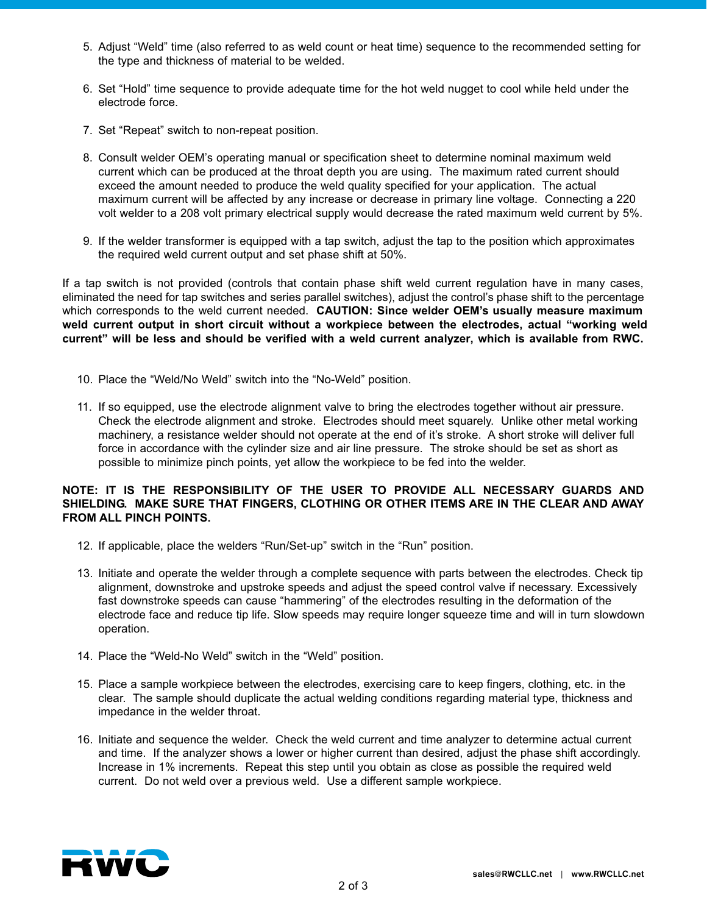- 5. Adjust "Weld" time (also referred to as weld count or heat time) sequence to the recommended setting for the type and thickness of material to be welded.
- 6. Set "Hold" time sequence to provide adequate time for the hot weld nugget to cool while held under the electrode force.
- 7. Set "Repeat" switch to non-repeat position.
- 8. Consult welder OEM's operating manual or specification sheet to determine nominal maximum weld current which can be produced at the throat depth you are using. The maximum rated current should exceed the amount needed to produce the weld quality specified for your application. The actual maximum current will be affected by any increase or decrease in primary line voltage. Connecting a 220 volt welder to a 208 volt primary electrical supply would decrease the rated maximum weld current by 5%.
- 9. If the welder transformer is equipped with a tap switch, adjust the tap to the position which approximates the required weld current output and set phase shift at 50%.

If a tap switch is not provided (controls that contain phase shift weld current regulation have in many cases, eliminated the need for tap switches and series parallel switches), adjust the control's phase shift to the percentage which corresponds to the weld current needed. **CAUTION: Since welder OEM's usually measure maximum weld current output in short circuit without a workpiece between the electrodes, actual "working weld current" will be less and should be verified with a weld current analyzer, which is available from RWC.**

- 10. Place the "Weld/No Weld" switch into the "No-Weld" position.
- 11. If so equipped, use the electrode alignment valve to bring the electrodes together without air pressure. Check the electrode alignment and stroke. Electrodes should meet squarely. Unlike other metal working machinery, a resistance welder should not operate at the end of it's stroke. A short stroke will deliver full force in accordance with the cylinder size and air line pressure. The stroke should be set as short as possible to minimize pinch points, yet allow the workpiece to be fed into the welder.

## **NOTE: IT IS THE RESPONSIBILITY OF THE USER TO PROVIDE ALL NECESSARY GUARDS AND SHIELDING. MAKE SURE THAT FINGERS, CLOTHING OR OTHER ITEMS ARE IN THE CLEAR AND AWAY FROM ALL PINCH POINTS.**

- 12. If applicable, place the welders "Run/Set-up" switch in the "Run" position.
- 13. Initiate and operate the welder through a complete sequence with parts between the electrodes. Check tip alignment, downstroke and upstroke speeds and adjust the speed control valve if necessary. Excessively fast downstroke speeds can cause "hammering" of the electrodes resulting in the deformation of the electrode face and reduce tip life. Slow speeds may require longer squeeze time and will in turn slowdown operation.
- 14. Place the "Weld-No Weld" switch in the "Weld" position.
- 15. Place a sample workpiece between the electrodes, exercising care to keep fingers, clothing, etc. in the clear. The sample should duplicate the actual welding conditions regarding material type, thickness and impedance in the welder throat.
- 16. Initiate and sequence the welder. Check the weld current and time analyzer to determine actual current and time. If the analyzer shows a lower or higher current than desired, adjust the phase shift accordingly. Increase in 1% increments. Repeat this step until you obtain as close as possible the required weld current. Do not weld over a previous weld. Use a different sample workpiece.